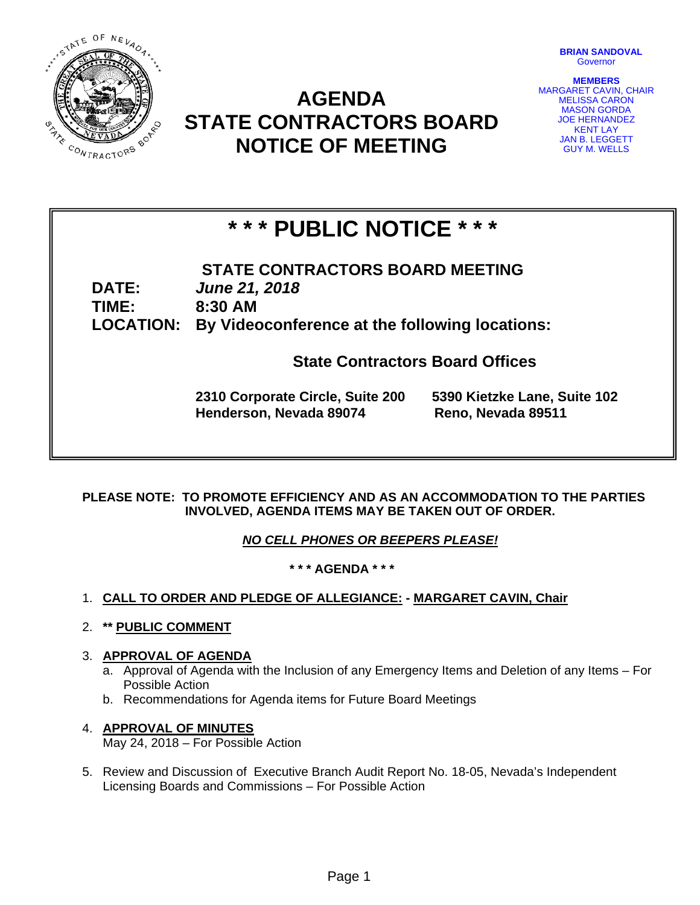

# **AGENDA STATE CONTRACTORS BOARD NOTICE OF MEETING**

**BRIAN SANDOVAL Governor** 

**MEMBERS**  MARGARET CAVIN, CHAIR MELISSA CARON MASON GORDA JOE HERNANDEZ KENT LAY JAN B. LEGGETT GUY M. WELLS

# **\* \* \* PUBLIC NOTICE \* \* \***

**STATE CONTRACTORS BOARD MEETING DATE:** *June 21, 2018*  **TIME: 8:30 AM LOCATION: By Videoconference at the following locations:** 

**State Contractors Board Offices** 

**2310 Corporate Circle, Suite 200 5390 Kietzke Lane, Suite 102 Henderson, Nevada 89074 Reno, Nevada 89511** 

**PLEASE NOTE: TO PROMOTE EFFICIENCY AND AS AN ACCOMMODATION TO THE PARTIES INVOLVED, AGENDA ITEMS MAY BE TAKEN OUT OF ORDER.** 

*NO CELL PHONES OR BEEPERS PLEASE!* 

**\* \* \* AGENDA \* \* \*** 

- 1. **CALL TO ORDER AND PLEDGE OF ALLEGIANCE: MARGARET CAVIN, Chair**
- 2. **\*\* PUBLIC COMMENT**
- 3. **APPROVAL OF AGENDA**
	- a. Approval of Agenda with the Inclusion of any Emergency Items and Deletion of any Items For Possible Action
	- b. Recommendations for Agenda items for Future Board Meetings

#### 4. **APPROVAL OF MINUTES** May 24, 2018 – For Possible Action

5. Review and Discussion of Executive Branch Audit Report No. 18-05, Nevada's Independent Licensing Boards and Commissions – For Possible Action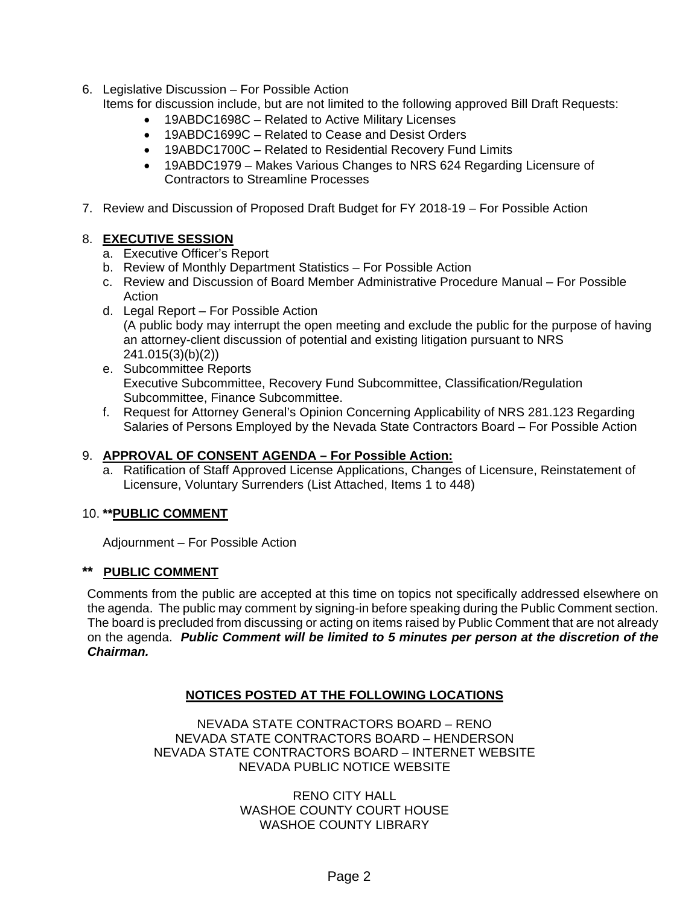6. Legislative Discussion – For Possible Action

Items for discussion include, but are not limited to the following approved Bill Draft Requests:

- 19ABDC1698C Related to Active Military Licenses
- 19ABDC1699C Related to Cease and Desist Orders
- 19ABDC1700C Related to Residential Recovery Fund Limits
- 19ABDC1979 Makes Various Changes to NRS 624 Regarding Licensure of Contractors to Streamline Processes
- 7. Review and Discussion of Proposed Draft Budget for FY 2018-19 For Possible Action

### 8. **EXECUTIVE SESSION**

- a. Executive Officer's Report
- b. Review of Monthly Department Statistics For Possible Action
- c. Review and Discussion of Board Member Administrative Procedure Manual For Possible Action
- d. Legal Report For Possible Action (A public body may interrupt the open meeting and exclude the public for the purpose of having an attorney-client discussion of potential and existing litigation pursuant to NRS 241.015(3)(b)(2))
- e. Subcommittee Reports Executive Subcommittee, Recovery Fund Subcommittee, Classification/Regulation Subcommittee, Finance Subcommittee.
- f. Request for Attorney General's Opinion Concerning Applicability of NRS 281.123 Regarding Salaries of Persons Employed by the Nevada State Contractors Board – For Possible Action

## 9. **APPROVAL OF CONSENT AGENDA – For Possible Action:**

a. Ratification of Staff Approved License Applications, Changes of Licensure, Reinstatement of Licensure, Voluntary Surrenders (List Attached, Items 1 to 448)

## 10. **\*\*PUBLIC COMMENT**

Adjournment – For Possible Action

### **\*\* PUBLIC COMMENT**

Comments from the public are accepted at this time on topics not specifically addressed elsewhere on the agenda. The public may comment by signing-in before speaking during the Public Comment section. The board is precluded from discussing or acting on items raised by Public Comment that are not already on the agenda. *Public Comment will be limited to 5 minutes per person at the discretion of the Chairman.* 

## **NOTICES POSTED AT THE FOLLOWING LOCATIONS**

NEVADA STATE CONTRACTORS BOARD – RENO NEVADA STATE CONTRACTORS BOARD – HENDERSON NEVADA STATE CONTRACTORS BOARD – INTERNET WEBSITE NEVADA PUBLIC NOTICE WEBSITE

> RENO CITY HALL WASHOE COUNTY COURT HOUSE WASHOE COUNTY LIBRARY